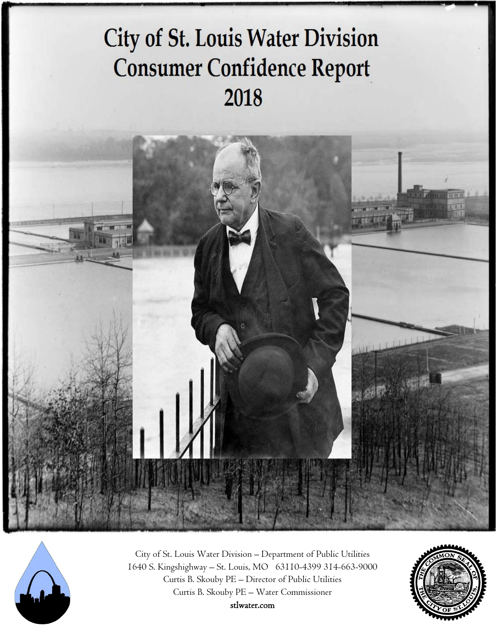# **City of St. Louis Water Division Consumer Confidence Report** 2018





 City of St. Louis Water Division – Department of Public Utilities 1640 S. Kingshighway – St. Louis, MO 63110-4399 314-663-9000 Curtis B. Skouby PE – Director of Public Utilities Curtis B. Skouby PE – Water Commissioner

stlwater.com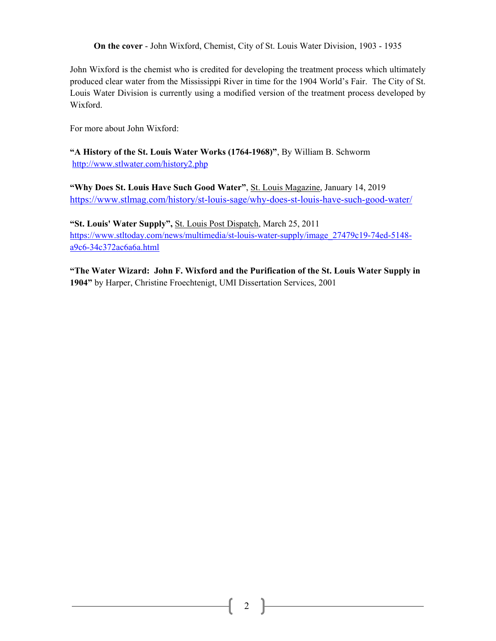**On the cover** - John Wixford, Chemist, City of St. Louis Water Division, 1903 - 1935

John Wixford is the chemist who is credited for developing the treatment process which ultimately produced clear water from the Mississippi River in time for the 1904 World's Fair. The City of St. Louis Water Division is currently using a modified version of the treatment process developed by Wixford.

For more about John Wixford:

**"A History of the St. Louis Water Works (1764-1968)"**, By William B. Schworm http://www.stlwater.com/history2.php

**"Why Does St. Louis Have Such Good Water"**, St. Louis Magazine, January 14, 2019 https://www.stlmag.com/history/st-louis-sage/why-does-st-louis-have-such-good-water/

**"St. Louis' Water Supply",** St. Louis Post Dispatch, March 25, 2011 https://www.stltoday.com/news/multimedia/st-louis-water-supply/image\_27479c19-74ed-5148 a9c6-34c372ac6a6a.html

**"The Water Wizard: John F. Wixford and the Purification of the St. Louis Water Supply in 1904"** by Harper, Christine Froechtenigt, UMI Dissertation Services, 2001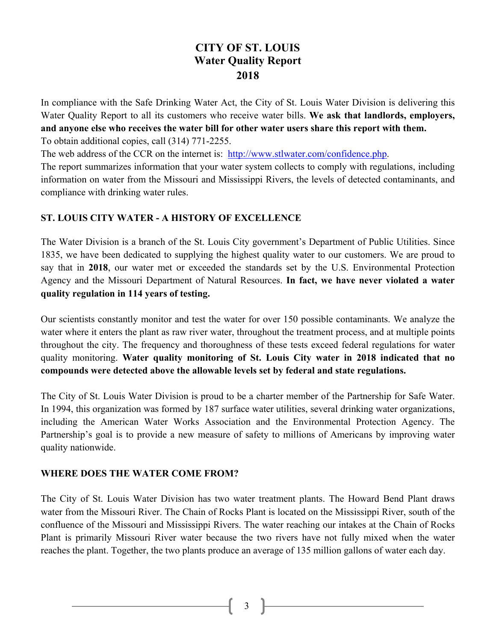# **CITY OF ST. LOUIS Water Quality Report 2018**

In compliance with the Safe Drinking Water Act, the City of St. Louis Water Division is delivering this Water Quality Report to all its customers who receive water bills. **We ask that landlords, employers, and anyone else who receives the water bill for other water users share this report with them.**  To obtain additional copies, call (314) 771-2255.

The web address of the CCR on the internet is: http://www.stlwater.com/confidence.php.

The report summarizes information that your water system collects to comply with regulations, including information on water from the Missouri and Mississippi Rivers, the levels of detected contaminants, and compliance with drinking water rules.

## **ST. LOUIS CITY WATER - A HISTORY OF EXCELLENCE**

The Water Division is a branch of the St. Louis City government's Department of Public Utilities. Since 1835, we have been dedicated to supplying the highest quality water to our customers. We are proud to say that in **2018**, our water met or exceeded the standards set by the U.S. Environmental Protection Agency and the Missouri Department of Natural Resources. **In fact, we have never violated a water quality regulation in 114 years of testing.** 

Our scientists constantly monitor and test the water for over 150 possible contaminants. We analyze the water where it enters the plant as raw river water, throughout the treatment process, and at multiple points throughout the city. The frequency and thoroughness of these tests exceed federal regulations for water quality monitoring. **Water quality monitoring of St. Louis City water in 2018 indicated that no compounds were detected above the allowable levels set by federal and state regulations.** 

The City of St. Louis Water Division is proud to be a charter member of the Partnership for Safe Water. In 1994, this organization was formed by 187 surface water utilities, several drinking water organizations, including the American Water Works Association and the Environmental Protection Agency. The Partnership's goal is to provide a new measure of safety to millions of Americans by improving water quality nationwide.

## **WHERE DOES THE WATER COME FROM?**

The City of St. Louis Water Division has two water treatment plants. The Howard Bend Plant draws water from the Missouri River. The Chain of Rocks Plant is located on the Mississippi River, south of the confluence of the Missouri and Mississippi Rivers. The water reaching our intakes at the Chain of Rocks Plant is primarily Missouri River water because the two rivers have not fully mixed when the water reaches the plant. Together, the two plants produce an average of 135 million gallons of water each day.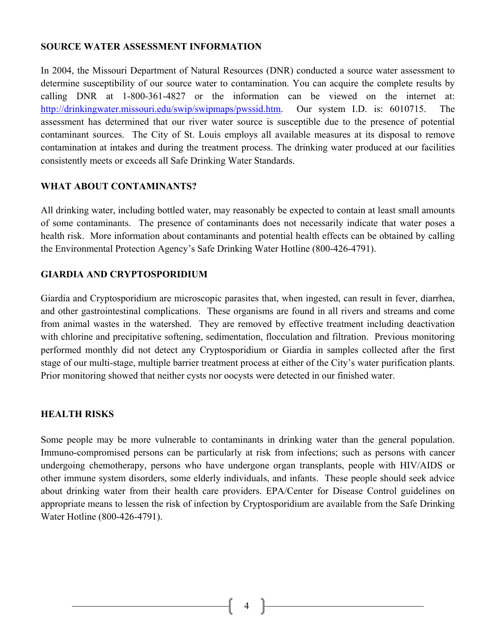#### **SOURCE WATER ASSESSMENT INFORMATION**

In 2004, the Missouri Department of Natural Resources (DNR) conducted a source water assessment to determine susceptibility of our source water to contamination. You can acquire the complete results by calling DNR at 1-800-361-4827 or the information can be viewed on the internet at: http://drinkingwater.missouri.edu/swip/swipmaps/pwssid.htm. Our system I.D. is: 6010715. The assessment has determined that our river water source is susceptible due to the presence of potential contaminant sources. The City of St. Louis employs all available measures at its disposal to remove contamination at intakes and during the treatment process. The drinking water produced at our facilities consistently meets or exceeds all Safe Drinking Water Standards.

#### **WHAT ABOUT CONTAMINANTS?**

All drinking water, including bottled water, may reasonably be expected to contain at least small amounts of some contaminants. The presence of contaminants does not necessarily indicate that water poses a health risk. More information about contaminants and potential health effects can be obtained by calling the Environmental Protection Agency's Safe Drinking Water Hotline (800-426-4791).

#### **GIARDIA AND CRYPTOSPORIDIUM**

Giardia and Cryptosporidium are microscopic parasites that, when ingested, can result in fever, diarrhea, and other gastrointestinal complications. These organisms are found in all rivers and streams and come from animal wastes in the watershed. They are removed by effective treatment including deactivation with chlorine and precipitative softening, sedimentation, flocculation and filtration. Previous monitoring performed monthly did not detect any Cryptosporidium or Giardia in samples collected after the first stage of our multi-stage, multiple barrier treatment process at either of the City's water purification plants. Prior monitoring showed that neither cysts nor oocysts were detected in our finished water.

#### **HEALTH RISKS**

Some people may be more vulnerable to contaminants in drinking water than the general population. Immuno-compromised persons can be particularly at risk from infections; such as persons with cancer undergoing chemotherapy, persons who have undergone organ transplants, people with HIV/AIDS or other immune system disorders, some elderly individuals, and infants. These people should seek advice about drinking water from their health care providers. EPA/Center for Disease Control guidelines on appropriate means to lessen the risk of infection by Cryptosporidium are available from the Safe Drinking Water Hotline (800-426-4791).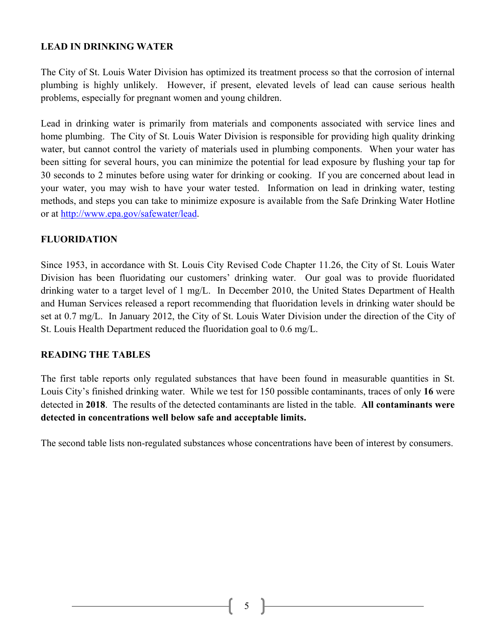#### **LEAD IN DRINKING WATER**

The City of St. Louis Water Division has optimized its treatment process so that the corrosion of internal plumbing is highly unlikely. However, if present, elevated levels of lead can cause serious health problems, especially for pregnant women and young children.

Lead in drinking water is primarily from materials and components associated with service lines and home plumbing. The City of St. Louis Water Division is responsible for providing high quality drinking water, but cannot control the variety of materials used in plumbing components. When your water has been sitting for several hours, you can minimize the potential for lead exposure by flushing your tap for 30 seconds to 2 minutes before using water for drinking or cooking. If you are concerned about lead in your water, you may wish to have your water tested. Information on lead in drinking water, testing methods, and steps you can take to minimize exposure is available from the Safe Drinking Water Hotline or at http://www.epa.gov/safewater/lead.

#### **FLUORIDATION**

Since 1953, in accordance with St. Louis City Revised Code Chapter 11.26, the City of St. Louis Water Division has been fluoridating our customers' drinking water. Our goal was to provide fluoridated drinking water to a target level of 1 mg/L. In December 2010, the United States Department of Health and Human Services released a report recommending that fluoridation levels in drinking water should be set at 0.7 mg/L. In January 2012, the City of St. Louis Water Division under the direction of the City of St. Louis Health Department reduced the fluoridation goal to 0.6 mg/L.

#### **READING THE TABLES**

The first table reports only regulated substances that have been found in measurable quantities in St. Louis City's finished drinking water. While we test for 150 possible contaminants, traces of only **16** were detected in **2018**. The results of the detected contaminants are listed in the table. **All contaminants were detected in concentrations well below safe and acceptable limits.**

The second table lists non-regulated substances whose concentrations have been of interest by consumers.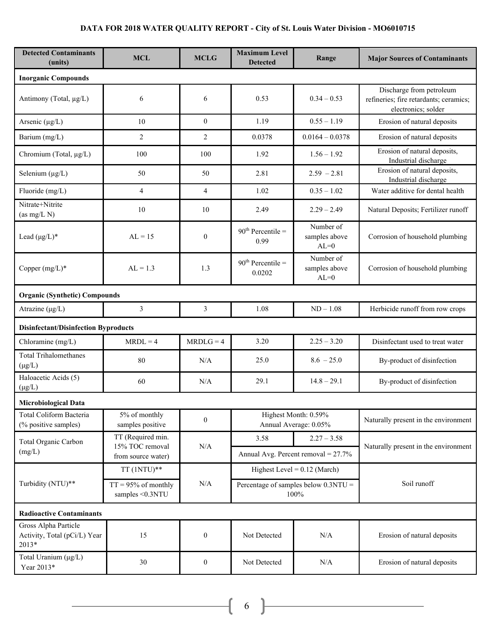## **DATA FOR 2018 WATER QUALITY REPORT - City of St. Louis Water Division - MO6010715**

| <b>Detected Contaminants</b><br>(units)                       | <b>MCL</b>                                                 | <b>MCLG</b>      | <b>Maximum Level</b><br><b>Detected</b>        | Range                                | <b>Major Sources of Contaminants</b>                                                      |  |  |  |
|---------------------------------------------------------------|------------------------------------------------------------|------------------|------------------------------------------------|--------------------------------------|-------------------------------------------------------------------------------------------|--|--|--|
| <b>Inorganic Compounds</b>                                    |                                                            |                  |                                                |                                      |                                                                                           |  |  |  |
| Antimony (Total, µg/L)                                        | 6                                                          | 6                | 0.53                                           | $0.34 - 0.53$                        | Discharge from petroleum<br>refineries; fire retardants; ceramics;<br>electronics; solder |  |  |  |
| Arsenic $(\mu g/L)$                                           | 10                                                         | $\overline{0}$   | 1.19                                           | $0.55 - 1.19$                        | Erosion of natural deposits                                                               |  |  |  |
| Barium (mg/L)                                                 | $\overline{2}$                                             | $\overline{2}$   | 0.0378                                         | $0.0164 - 0.0378$                    | Erosion of natural deposits                                                               |  |  |  |
| Chromium (Total, µg/L)                                        | 100                                                        | 100              | 1.92                                           | $1.56 - 1.92$                        | Erosion of natural deposits,<br>Industrial discharge                                      |  |  |  |
| Selenium $(\mu g/L)$                                          | 50                                                         | 50               | 2.81                                           | $2.59 - 2.81$                        | Erosion of natural deposits,<br>Industrial discharge                                      |  |  |  |
| Fluoride (mg/L)                                               | $\overline{4}$                                             | $\overline{4}$   | 1.02                                           | $0.35 - 1.02$                        | Water additive for dental health                                                          |  |  |  |
| Nitrate+Nitrite<br>(as mg/L N)                                | 10                                                         | 10               | 2.49                                           | $2.29 - 2.49$                        | Natural Deposits; Fertilizer runoff                                                       |  |  |  |
| Lead $(\mu g/L)^*$                                            | $AL = 15$                                                  | $\mathbf{0}$     | $90th$ Percentile =<br>0.99                    | Number of<br>samples above<br>$AL=0$ | Corrosion of household plumbing                                                           |  |  |  |
| Copper $(mg/L)^*$                                             | $AL = 1.3$                                                 | 1.3              | $90th$ Percentile =<br>0.0202                  | Number of<br>samples above<br>$AL=0$ | Corrosion of household plumbing                                                           |  |  |  |
|                                                               | <b>Organic (Synthetic) Compounds</b>                       |                  |                                                |                                      |                                                                                           |  |  |  |
| Atrazine $(\mu g/L)$                                          | $\mathfrak{Z}$                                             | $\overline{3}$   | 1.08                                           | $ND - 1.08$                          | Herbicide runoff from row crops                                                           |  |  |  |
| <b>Disinfectant/Disinfection Byproducts</b>                   |                                                            |                  |                                                |                                      |                                                                                           |  |  |  |
| Chloramine (mg/L)                                             | $MRDL = 4$                                                 | $MRDLG = 4$      | 3.20                                           | $2.25 - 3.20$                        | Disinfectant used to treat water                                                          |  |  |  |
| <b>Total Trihalomethanes</b><br>$(\mu g/L)$                   | 80                                                         | N/A              | 25.0                                           | $8.6 - 25.0$                         | By-product of disinfection                                                                |  |  |  |
| Haloacetic Acids (5)<br>$(\mu g/L)$                           | 60                                                         | N/A              | 29.1                                           | $14.8 - 29.1$                        | By-product of disinfection                                                                |  |  |  |
| <b>Microbiological Data</b>                                   |                                                            |                  |                                                |                                      |                                                                                           |  |  |  |
| <b>Total Coliform Bacteria</b><br>(% positive samples)        | 5% of monthly<br>samples positive                          | $\boldsymbol{0}$ | Highest Month: 0.59%<br>Annual Average: 0.05%  |                                      | Naturally present in the environment                                                      |  |  |  |
| Total Organic Carbon                                          | TT (Required min.<br>15% TOC removal<br>from source water) | $\rm N/A$        | 3.58                                           | $2.27 - 3.58$                        |                                                                                           |  |  |  |
| (mg/L)                                                        |                                                            |                  | Annual Avg. Percent removal = $27.7\%$         |                                      | Naturally present in the environment                                                      |  |  |  |
| Turbidity (NTU)**                                             | $TT(1NTU)**$                                               |                  | Highest Level = $0.12$ (March)                 |                                      | Soil runoff                                                                               |  |  |  |
|                                                               | $TT = 95%$ of monthly<br>samples <0.3NTU                   | N/A              | Percentage of samples below $0.3NTU =$<br>100% |                                      |                                                                                           |  |  |  |
| <b>Radioactive Contaminants</b>                               |                                                            |                  |                                                |                                      |                                                                                           |  |  |  |
| Gross Alpha Particle<br>Activity, Total (pCi/L) Year<br>2013* | 15                                                         | $\boldsymbol{0}$ | Not Detected                                   | $\rm N/A$                            | Erosion of natural deposits                                                               |  |  |  |
| Total Uranium (µg/L)<br>Year 2013*                            | 30                                                         | $\boldsymbol{0}$ | Not Detected                                   | $\rm N/A$                            | Erosion of natural deposits                                                               |  |  |  |

 $\begin{pmatrix} 6 \end{pmatrix}$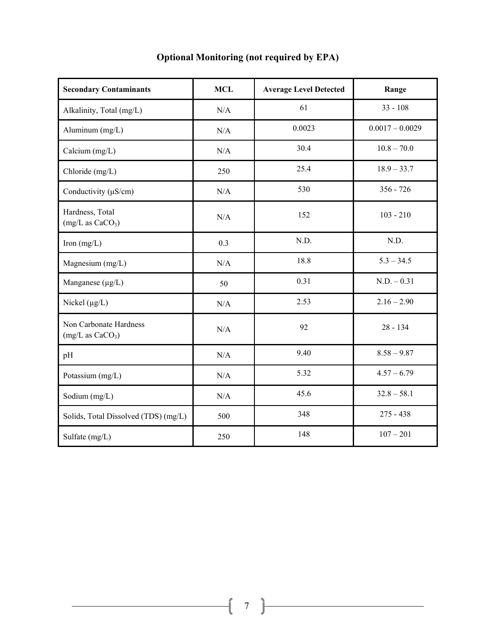| <b>Secondary Contaminants</b>                          | <b>MCL</b> | <b>Average Level Detected</b> | Range             |
|--------------------------------------------------------|------------|-------------------------------|-------------------|
| Alkalinity, Total (mg/L)                               | N/A        | 61                            | $33 - 108$        |
| Aluminum (mg/L)                                        | N/A        | 0.0023                        | $0.0017 - 0.0029$ |
| Calcium $(mg/L)$                                       | N/A        | 30.4                          | $10.8 - 70.0$     |
| Chloride (mg/L)                                        | 250        | 25.4                          | $18.9 - 33.7$     |
| Conductivity $(\mu S/cm)$                              | N/A        | 530                           | $356 - 726$       |
| Hardness, Total<br>(mg/L as CaCO <sub>3</sub> )        | N/A        | 152                           | $103 - 210$       |
| Iron $(mg/L)$                                          | 0.3        | N.D.                          | N.D.              |
| Magnesium (mg/L)                                       | N/A        | 18.8                          | $5.3 - 34.5$      |
| Manganese $(\mu g/L)$                                  | 50         | 0.31                          | $N.D. - 0.31$     |
| Nickel $(\mu g/L)$                                     | N/A        | 2.53                          | $2.16 - 2.90$     |
| Non Carbonate Hardness<br>(mg/L as CaCO <sub>3</sub> ) | N/A        | 92                            | $28 - 134$        |
| pH                                                     | N/A        | 9.40                          | $8.58 - 9.87$     |
| Potassium (mg/L)                                       | N/A        | 5.32                          | $4.57 - 6.79$     |
| Sodium (mg/L)                                          | N/A        | 45.6                          | $32.8 - 58.1$     |
| Solids, Total Dissolved (TDS) (mg/L)                   | 500        | 348                           | $275 - 438$       |
| Sulfate (mg/L)                                         | 250        | 148                           | $107 - 201$       |

# **Optional Monitoring (not required by EPA)**